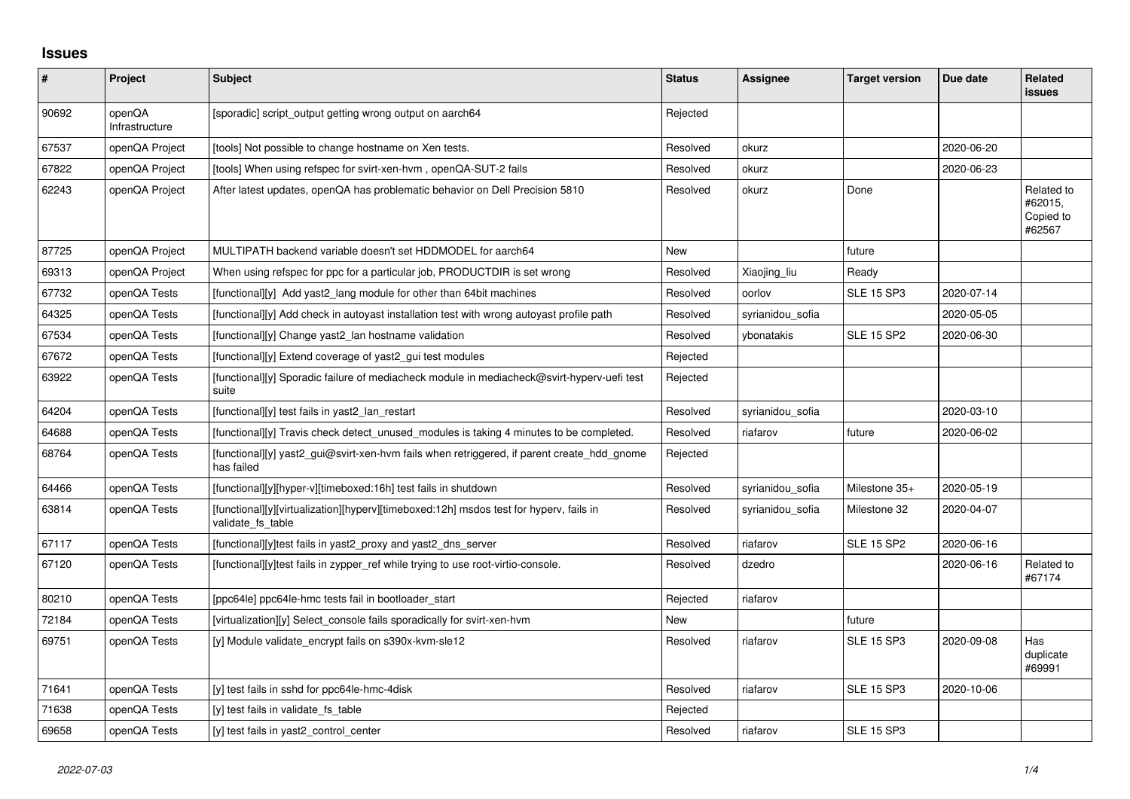## **Issues**

| $\sharp$ | Project                  | <b>Subject</b>                                                                                              | <b>Status</b> | Assignee         | <b>Target version</b> | Due date   | <b>Related</b><br><b>issues</b>              |
|----------|--------------------------|-------------------------------------------------------------------------------------------------------------|---------------|------------------|-----------------------|------------|----------------------------------------------|
| 90692    | openQA<br>Infrastructure | [sporadic] script_output getting wrong output on aarch64                                                    | Rejected      |                  |                       |            |                                              |
| 67537    | openQA Project           | [tools] Not possible to change hostname on Xen tests.                                                       | Resolved      | okurz            |                       | 2020-06-20 |                                              |
| 67822    | openQA Project           | [tools] When using refspec for svirt-xen-hvm, openQA-SUT-2 fails                                            | Resolved      | okurz            |                       | 2020-06-23 |                                              |
| 62243    | openQA Project           | After latest updates, openQA has problematic behavior on Dell Precision 5810                                | Resolved      | okurz            | Done                  |            | Related to<br>#62015,<br>Copied to<br>#62567 |
| 87725    | openQA Project           | MULTIPATH backend variable doesn't set HDDMODEL for aarch64                                                 | <b>New</b>    |                  | future                |            |                                              |
| 69313    | openQA Project           | When using refspec for ppc for a particular job, PRODUCTDIR is set wrong                                    | Resolved      | Xiaojing_liu     | Ready                 |            |                                              |
| 67732    | openQA Tests             | [functional][y] Add yast2 lang module for other than 64bit machines                                         | Resolved      | oorlov           | <b>SLE 15 SP3</b>     | 2020-07-14 |                                              |
| 64325    | openQA Tests             | [functional][y] Add check in autoyast installation test with wrong autoyast profile path                    | Resolved      | syrianidou sofia |                       | 2020-05-05 |                                              |
| 67534    | openQA Tests             | [functional][y] Change yast2_lan hostname validation                                                        | Resolved      | vbonatakis       | <b>SLE 15 SP2</b>     | 2020-06-30 |                                              |
| 67672    | openQA Tests             | [functional][y] Extend coverage of yast2_gui test modules                                                   | Rejected      |                  |                       |            |                                              |
| 63922    | openQA Tests             | [functional][y] Sporadic failure of mediacheck module in mediacheck@svirt-hyperv-uefi test<br>suite         | Rejected      |                  |                       |            |                                              |
| 64204    | openQA Tests             | [functional][y] test fails in yast2 lan restart                                                             | Resolved      | syrianidou_sofia |                       | 2020-03-10 |                                              |
| 64688    | openQA Tests             | [functional][y] Travis check detect unused modules is taking 4 minutes to be completed.                     | Resolved      | riafarov         | future                | 2020-06-02 |                                              |
| 68764    | openQA Tests             | [functional][y] yast2_gui@svirt-xen-hvm fails when retriggered, if parent create_hdd_gnome<br>has failed    | Rejected      |                  |                       |            |                                              |
| 64466    | openQA Tests             | [functional][y][hyper-v][timeboxed:16h] test fails in shutdown                                              | Resolved      | syrianidou sofia | Milestone 35+         | 2020-05-19 |                                              |
| 63814    | openQA Tests             | [functional][y][virtualization][hyperv][timeboxed:12h] msdos test for hyperv, fails in<br>validate fs table | Resolved      | syrianidou sofia | Milestone 32          | 2020-04-07 |                                              |
| 67117    | openQA Tests             | [functional][y]test fails in yast2 proxy and yast2 dns server                                               | Resolved      | riafarov         | <b>SLE 15 SP2</b>     | 2020-06-16 |                                              |
| 67120    | openQA Tests             | [functional][y]test fails in zypper_ref while trying to use root-virtio-console.                            | Resolved      | dzedro           |                       | 2020-06-16 | Related to<br>#67174                         |
| 80210    | openQA Tests             | [ppc64le] ppc64le-hmc tests fail in bootloader_start                                                        | Rejected      | riafarov         |                       |            |                                              |
| 72184    | openQA Tests             | [virtualization][y] Select console fails sporadically for svirt-xen-hvm                                     | New           |                  | future                |            |                                              |
| 69751    | openQA Tests             | [y] Module validate_encrypt fails on s390x-kvm-sle12                                                        | Resolved      | riafarov         | <b>SLE 15 SP3</b>     | 2020-09-08 | Has<br>duplicate<br>#69991                   |
| 71641    | openQA Tests             | [y] test fails in sshd for ppc64le-hmc-4disk                                                                | Resolved      | riafarov         | <b>SLE 15 SP3</b>     | 2020-10-06 |                                              |
| 71638    | openQA Tests             | [y] test fails in validate fs table                                                                         | Rejected      |                  |                       |            |                                              |
| 69658    | openQA Tests             | [y] test fails in yast2 control center                                                                      | Resolved      | riafarov         | <b>SLE 15 SP3</b>     |            |                                              |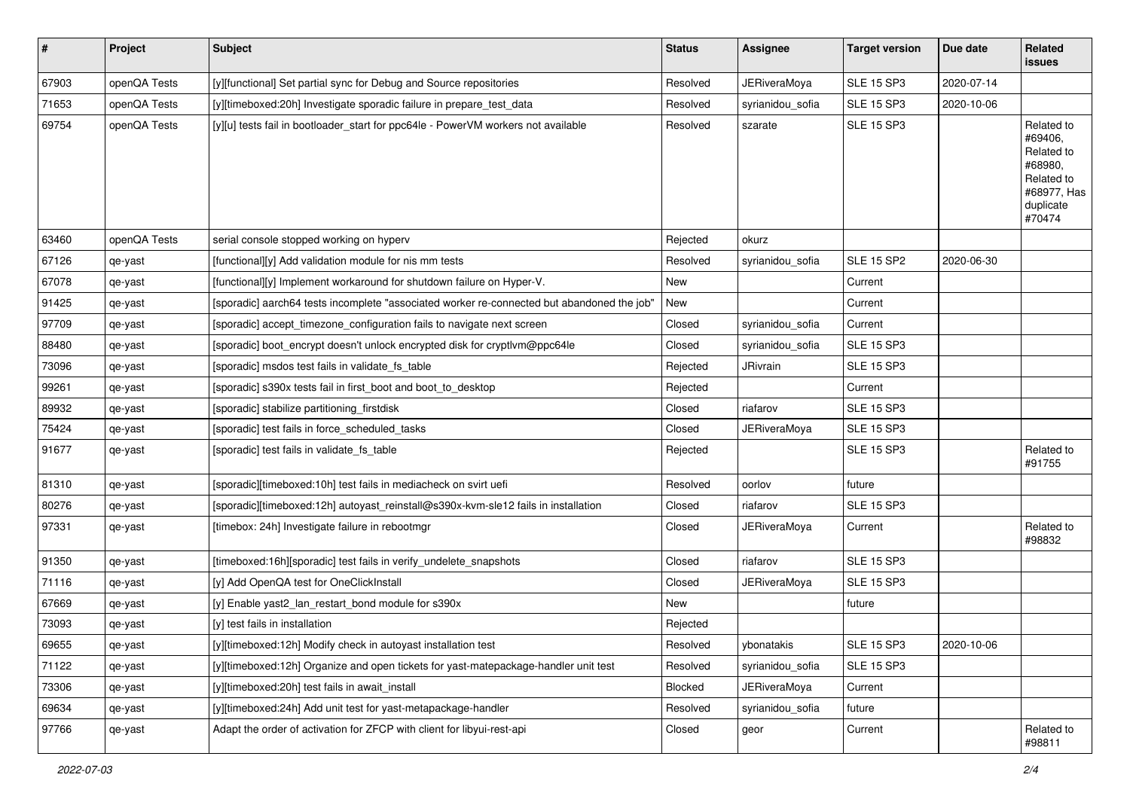| $\sharp$ | Project      | <b>Subject</b>                                                                             | <b>Status</b> | Assignee            | <b>Target version</b> | Due date   | Related<br>issues                                                                                  |
|----------|--------------|--------------------------------------------------------------------------------------------|---------------|---------------------|-----------------------|------------|----------------------------------------------------------------------------------------------------|
| 67903    | openQA Tests | [y][functional] Set partial sync for Debug and Source repositories                         | Resolved      | <b>JERiveraMoya</b> | <b>SLE 15 SP3</b>     | 2020-07-14 |                                                                                                    |
| 71653    | openQA Tests | [y][timeboxed:20h] Investigate sporadic failure in prepare_test_data                       | Resolved      | syrianidou_sofia    | <b>SLE 15 SP3</b>     | 2020-10-06 |                                                                                                    |
| 69754    | openQA Tests | [y][u] tests fail in bootloader_start for ppc64le - PowerVM workers not available          | Resolved      | szarate             | <b>SLE 15 SP3</b>     |            | Related to<br>#69406,<br>Related to<br>#68980,<br>Related to<br>#68977, Has<br>duplicate<br>#70474 |
| 63460    | openQA Tests | serial console stopped working on hyperv                                                   | Rejected      | okurz               |                       |            |                                                                                                    |
| 67126    | qe-yast      | [functional][y] Add validation module for nis mm tests                                     | Resolved      | syrianidou_sofia    | <b>SLE 15 SP2</b>     | 2020-06-30 |                                                                                                    |
| 67078    | qe-yast      | [functional][y] Implement workaround for shutdown failure on Hyper-V.                      | New           |                     | Current               |            |                                                                                                    |
| 91425    | qe-yast      | [sporadic] aarch64 tests incomplete "associated worker re-connected but abandoned the job" | New           |                     | Current               |            |                                                                                                    |
| 97709    | qe-yast      | [sporadic] accept_timezone_configuration fails to navigate next screen                     | Closed        | syrianidou_sofia    | Current               |            |                                                                                                    |
| 88480    | qe-yast      | [sporadic] boot_encrypt doesn't unlock encrypted disk for cryptlvm@ppc64le                 | Closed        | syrianidou_sofia    | <b>SLE 15 SP3</b>     |            |                                                                                                    |
| 73096    | qe-yast      | [sporadic] msdos test fails in validate_fs_table                                           | Rejected      | JRivrain            | <b>SLE 15 SP3</b>     |            |                                                                                                    |
| 99261    | qe-yast      | [sporadic] s390x tests fail in first_boot and boot_to_desktop                              | Rejected      |                     | Current               |            |                                                                                                    |
| 89932    | qe-yast      | [sporadic] stabilize partitioning_firstdisk                                                | Closed        | riafarov            | <b>SLE 15 SP3</b>     |            |                                                                                                    |
| 75424    | qe-yast      | [sporadic] test fails in force_scheduled_tasks                                             | Closed        | <b>JERiveraMoya</b> | <b>SLE 15 SP3</b>     |            |                                                                                                    |
| 91677    | qe-yast      | [sporadic] test fails in validate_fs_table                                                 | Rejected      |                     | <b>SLE 15 SP3</b>     |            | Related to<br>#91755                                                                               |
| 81310    | qe-yast      | [sporadic][timeboxed:10h] test fails in mediacheck on svirt uefi                           | Resolved      | oorlov              | future                |            |                                                                                                    |
| 80276    | qe-yast      | [sporadic][timeboxed:12h] autoyast_reinstall@s390x-kvm-sle12 fails in installation         | Closed        | riafarov            | <b>SLE 15 SP3</b>     |            |                                                                                                    |
| 97331    | qe-yast      | [timebox: 24h] Investigate failure in rebootmgr                                            | Closed        | JERiveraMoya        | Current               |            | Related to<br>#98832                                                                               |
| 91350    | qe-yast      | [timeboxed:16h][sporadic] test fails in verify_undelete_snapshots                          | Closed        | riafarov            | <b>SLE 15 SP3</b>     |            |                                                                                                    |
| 71116    | qe-yast      | [y] Add OpenQA test for OneClickInstall                                                    | Closed        | <b>JERiveraMoya</b> | <b>SLE 15 SP3</b>     |            |                                                                                                    |
| 67669    | qe-yast      | [y] Enable yast2_lan_restart_bond module for s390x                                         | New           |                     | future                |            |                                                                                                    |
| 73093    | qe-yast      | [y] test fails in installation                                                             | Rejected      |                     |                       |            |                                                                                                    |
| 69655    | qe-yast      | [y][timeboxed:12h] Modify check in autoyast installation test                              | Resolved      | ybonatakis          | <b>SLE 15 SP3</b>     | 2020-10-06 |                                                                                                    |
| 71122    | qe-yast      | [y][timeboxed:12h] Organize and open tickets for yast-matepackage-handler unit test        | Resolved      | syrianidou_sofia    | <b>SLE 15 SP3</b>     |            |                                                                                                    |
| 73306    | qe-yast      | [y][timeboxed:20h] test fails in await_install                                             | Blocked       | <b>JERiveraMoya</b> | Current               |            |                                                                                                    |
| 69634    | qe-yast      | [y][timeboxed:24h] Add unit test for yast-metapackage-handler                              | Resolved      | syrianidou_sofia    | future                |            |                                                                                                    |
| 97766    | qe-yast      | Adapt the order of activation for ZFCP with client for libyui-rest-api                     | Closed        | geor                | Current               |            | Related to<br>#98811                                                                               |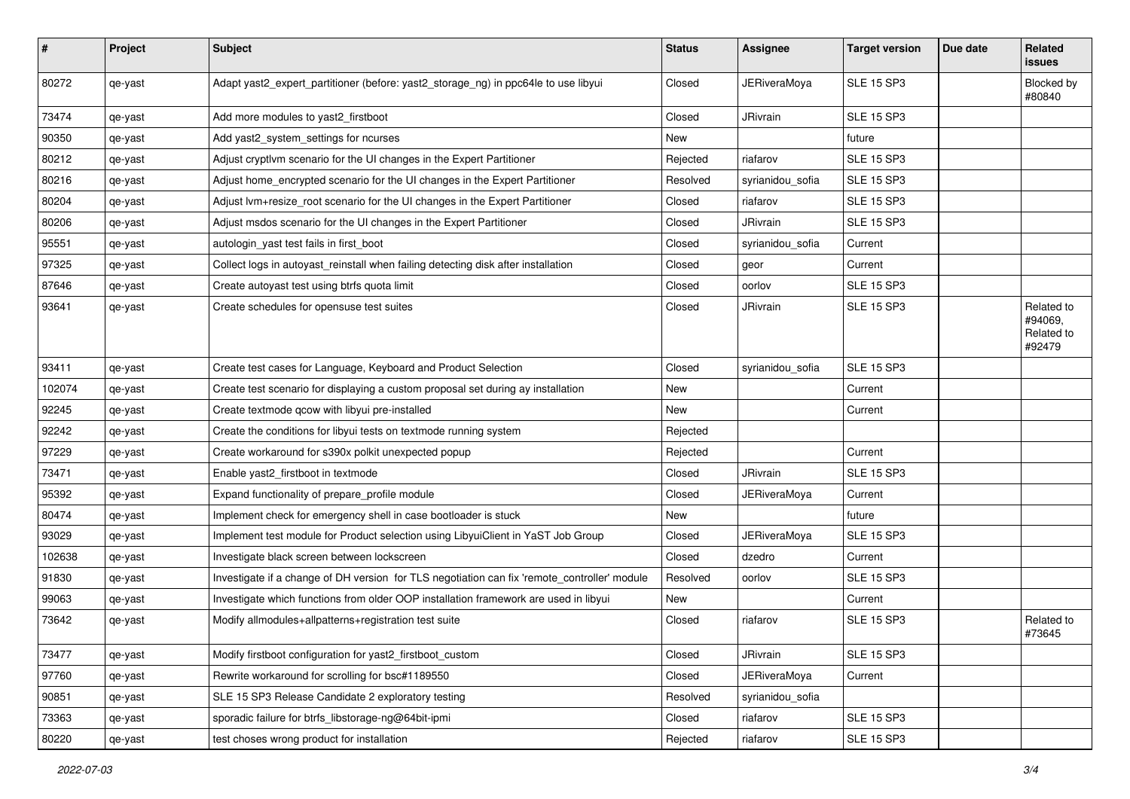| #      | Project | <b>Subject</b>                                                                               | <b>Status</b> | Assignee            | <b>Target version</b> | Due date | <b>Related</b><br><b>issues</b>               |
|--------|---------|----------------------------------------------------------------------------------------------|---------------|---------------------|-----------------------|----------|-----------------------------------------------|
| 80272  | qe-yast | Adapt yast2_expert_partitioner (before: yast2_storage_ng) in ppc64le to use libyui           | Closed        | <b>JERiveraMoya</b> | <b>SLE 15 SP3</b>     |          | Blocked by<br>#80840                          |
| 73474  | qe-yast | Add more modules to yast2_firstboot                                                          | Closed        | JRivrain            | <b>SLE 15 SP3</b>     |          |                                               |
| 90350  | qe-yast | Add yast2_system_settings for ncurses                                                        | New           |                     | future                |          |                                               |
| 80212  | qe-yast | Adjust cryptlvm scenario for the UI changes in the Expert Partitioner                        | Rejected      | riafarov            | <b>SLE 15 SP3</b>     |          |                                               |
| 80216  | qe-yast | Adjust home_encrypted scenario for the UI changes in the Expert Partitioner                  | Resolved      | syrianidou sofia    | <b>SLE 15 SP3</b>     |          |                                               |
| 80204  | qe-yast | Adjust lvm+resize_root scenario for the UI changes in the Expert Partitioner                 | Closed        | riafarov            | <b>SLE 15 SP3</b>     |          |                                               |
| 80206  | qe-yast | Adjust msdos scenario for the UI changes in the Expert Partitioner                           | Closed        | JRivrain            | <b>SLE 15 SP3</b>     |          |                                               |
| 95551  | qe-yast | autologin_yast test fails in first_boot                                                      | Closed        | syrianidou_sofia    | Current               |          |                                               |
| 97325  | qe-yast | Collect logs in autoyast_reinstall when failing detecting disk after installation            | Closed        | geor                | Current               |          |                                               |
| 87646  | qe-yast | Create autoyast test using btrfs quota limit                                                 | Closed        | oorlov              | <b>SLE 15 SP3</b>     |          |                                               |
| 93641  | qe-yast | Create schedules for opensuse test suites                                                    | Closed        | JRivrain            | <b>SLE 15 SP3</b>     |          | Related to<br>#94069,<br>Related to<br>#92479 |
| 93411  | qe-yast | Create test cases for Language, Keyboard and Product Selection                               | Closed        | syrianidou_sofia    | <b>SLE 15 SP3</b>     |          |                                               |
| 102074 | qe-yast | Create test scenario for displaying a custom proposal set during ay installation             | <b>New</b>    |                     | Current               |          |                                               |
| 92245  | qe-yast | Create textmode gcow with libyui pre-installed                                               | New           |                     | Current               |          |                                               |
| 92242  | qe-yast | Create the conditions for libyui tests on textmode running system                            | Rejected      |                     |                       |          |                                               |
| 97229  | qe-yast | Create workaround for s390x polkit unexpected popup                                          | Rejected      |                     | Current               |          |                                               |
| 73471  | qe-yast | Enable yast2_firstboot in textmode                                                           | Closed        | JRivrain            | <b>SLE 15 SP3</b>     |          |                                               |
| 95392  | qe-yast | Expand functionality of prepare_profile module                                               | Closed        | <b>JERiveraMoya</b> | Current               |          |                                               |
| 80474  | qe-yast | Implement check for emergency shell in case bootloader is stuck                              | New           |                     | future                |          |                                               |
| 93029  | qe-yast | Implement test module for Product selection using LibyuiClient in YaST Job Group             | Closed        | <b>JERiveraMoya</b> | <b>SLE 15 SP3</b>     |          |                                               |
| 102638 | qe-yast | Investigate black screen between lockscreen                                                  | Closed        | dzedro              | Current               |          |                                               |
| 91830  | qe-yast | Investigate if a change of DH version for TLS negotiation can fix 'remote_controller' module | Resolved      | oorlov              | <b>SLE 15 SP3</b>     |          |                                               |
| 99063  | qe-yast | Investigate which functions from older OOP installation framework are used in libyui         | New           |                     | Current               |          |                                               |
| 73642  | qe-yast | Modify allmodules+allpatterns+registration test suite                                        | Closed        | riafarov            | <b>SLE 15 SP3</b>     |          | Related to<br>#73645                          |
| 73477  | qe-yast | Modify firstboot configuration for yast2 firstboot custom                                    | Closed        | JRivrain            | <b>SLE 15 SP3</b>     |          |                                               |
| 97760  | qe-yast | Rewrite workaround for scrolling for bsc#1189550                                             | Closed        | <b>JERiveraMoya</b> | Current               |          |                                               |
| 90851  | qe-yast | SLE 15 SP3 Release Candidate 2 exploratory testing                                           | Resolved      | syrianidou_sofia    |                       |          |                                               |
| 73363  | qe-yast | sporadic failure for btrfs_libstorage-ng@64bit-ipmi                                          | Closed        | riafarov            | <b>SLE 15 SP3</b>     |          |                                               |
| 80220  | qe-yast | test choses wrong product for installation                                                   | Rejected      | riafarov            | <b>SLE 15 SP3</b>     |          |                                               |